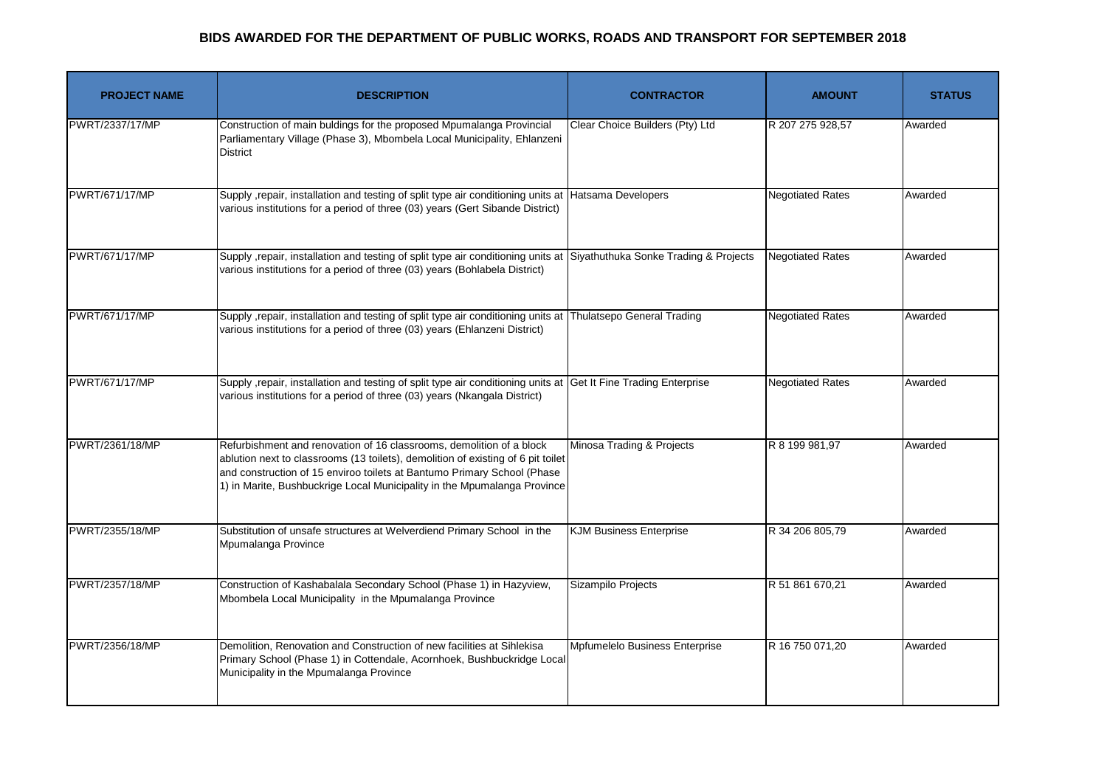| <b>PROJECT NAME</b>   | <b>DESCRIPTION</b>                                                                                                                                                                                                                                                                                              | <b>CONTRACTOR</b>               | <b>AMOUNT</b>           | <b>STATUS</b> |
|-----------------------|-----------------------------------------------------------------------------------------------------------------------------------------------------------------------------------------------------------------------------------------------------------------------------------------------------------------|---------------------------------|-------------------------|---------------|
| PWRT/2337/17/MP       | Construction of main buldings for the proposed Mpumalanga Provincial<br>Parliamentary Village (Phase 3), Mbombela Local Municipality, Ehlanzeni<br><b>District</b>                                                                                                                                              | Clear Choice Builders (Pty) Ltd | R 207 275 928,57        | Awarded       |
| <b>PWRT/671/17/MP</b> | Supply , repair, installation and testing of split type air conditioning units at Hatsama Developers<br>various institutions for a period of three (03) years (Gert Sibande District)                                                                                                                           |                                 | <b>Negotiated Rates</b> | Awarded       |
| <b>PWRT/671/17/MP</b> | Supply , repair, installation and testing of split type air conditioning units at Siyathuthuka Sonke Trading & Projects<br>various institutions for a period of three (03) years (Bohlabela District)                                                                                                           |                                 | <b>Negotiated Rates</b> | Awarded       |
| <b>PWRT/671/17/MP</b> | Supply , repair, installation and testing of split type air conditioning units at Thulatsepo General Trading<br>various institutions for a period of three (03) years (Ehlanzeni District)                                                                                                                      |                                 | <b>Negotiated Rates</b> | Awarded       |
| <b>PWRT/671/17/MP</b> | Supply , repair, installation and testing of split type air conditioning units at Get It Fine Trading Enterprise<br>various institutions for a period of three (03) years (Nkangala District)                                                                                                                   |                                 | <b>Negotiated Rates</b> | Awarded       |
| PWRT/2361/18/MP       | Refurbishment and renovation of 16 classrooms, demolition of a block<br>ablution next to classrooms (13 toilets), demolition of existing of 6 pit toilet<br>and construction of 15 enviroo toilets at Bantumo Primary School (Phase<br>1) in Marite, Bushbuckrige Local Municipality in the Mpumalanga Province | Minosa Trading & Projects       | R 8 199 981,97          | Awarded       |
| PWRT/2355/18/MP       | Substitution of unsafe structures at Welverdiend Primary School in the<br>Mpumalanga Province                                                                                                                                                                                                                   | <b>KJM Business Enterprise</b>  | R 34 206 805.79         | Awarded       |
| PWRT/2357/18/MP       | Construction of Kashabalala Secondary School (Phase 1) in Hazyview,<br>Mbombela Local Municipality in the Mpumalanga Province                                                                                                                                                                                   | Sizampilo Projects              | R 51 861 670,21         | Awarded       |
| PWRT/2356/18/MP       | Demolition, Renovation and Construction of new facilities at Sihlekisa<br>Primary School (Phase 1) in Cottendale, Acornhoek, Bushbuckridge Local<br>Municipality in the Mpumalanga Province                                                                                                                     | Mpfumelelo Business Enterprise  | R 16 750 071,20         | Awarded       |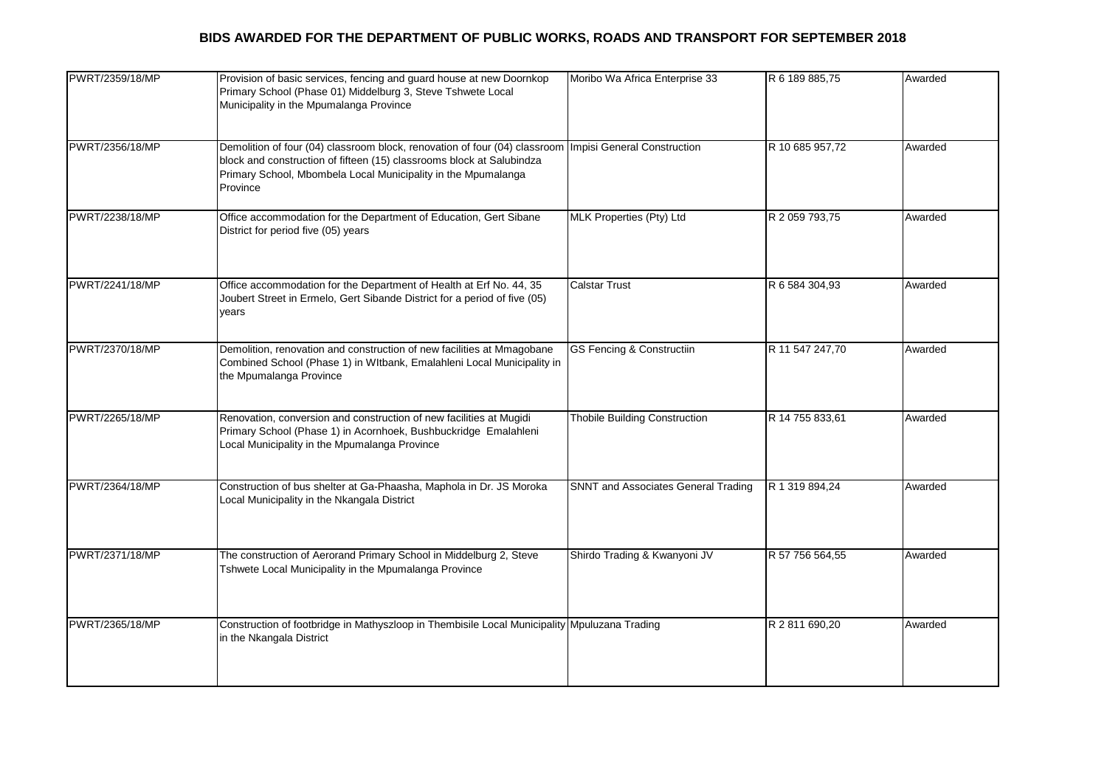| PWRT/2359/18/MP | Provision of basic services, fencing and guard house at new Doornkop<br>Primary School (Phase 01) Middelburg 3, Steve Tshwete Local<br>Municipality in the Mpumalanga Province                                                   | Moribo Wa Africa Enterprise 33             | R 6 189 885,75  | Awarded |
|-----------------|----------------------------------------------------------------------------------------------------------------------------------------------------------------------------------------------------------------------------------|--------------------------------------------|-----------------|---------|
| PWRT/2356/18/MP | Demolition of four (04) classroom block, renovation of four (04) classroom<br>block and construction of fifteen (15) classrooms block at Salubindza<br>Primary School, Mbombela Local Municipality in the Mpumalanga<br>Province | <b>Impisi General Construction</b>         | R 10 685 957,72 | Awarded |
| PWRT/2238/18/MP | Office accommodation for the Department of Education, Gert Sibane<br>District for period five (05) years                                                                                                                         | MLK Properties (Pty) Ltd                   | R 2 059 793,75  | Awarded |
| PWRT/2241/18/MP | Office accommodation for the Department of Health at Erf No. 44, 35<br>Joubert Street in Ermelo, Gert Sibande District for a period of five (05)<br>vears                                                                        | <b>Calstar Trust</b>                       | R 6 584 304,93  | Awarded |
| PWRT/2370/18/MP | Demolition, renovation and construction of new facilities at Mmagobane<br>Combined School (Phase 1) in WItbank, Emalahleni Local Municipality in<br>the Mpumalanga Province                                                      | <b>GS Fencing &amp; Constructiin</b>       | R 11 547 247,70 | Awarded |
| PWRT/2265/18/MP | Renovation, conversion and construction of new facilities at Mugidi<br>Primary School (Phase 1) in Acornhoek, Bushbuckridge Emalahleni<br>Local Municipality in the Mpumalanga Province                                          | <b>Thobile Building Construction</b>       | R 14 755 833,61 | Awarded |
| PWRT/2364/18/MP | Construction of bus shelter at Ga-Phaasha, Maphola in Dr. JS Moroka<br>Local Municipality in the Nkangala District                                                                                                               | <b>SNNT and Associates General Trading</b> | R 1 319 894,24  | Awarded |
| PWRT/2371/18/MP | The construction of Aerorand Primary School in Middelburg 2, Steve<br>Tshwete Local Municipality in the Mpumalanga Province                                                                                                      | Shirdo Trading & Kwanyoni JV               | R 57 756 564,55 | Awarded |
| PWRT/2365/18/MP | Construction of footbridge in Mathyszloop in Thembisile Local Municipality Mpuluzana Trading<br>in the Nkangala District                                                                                                         |                                            | R 2 811 690,20  | Awarded |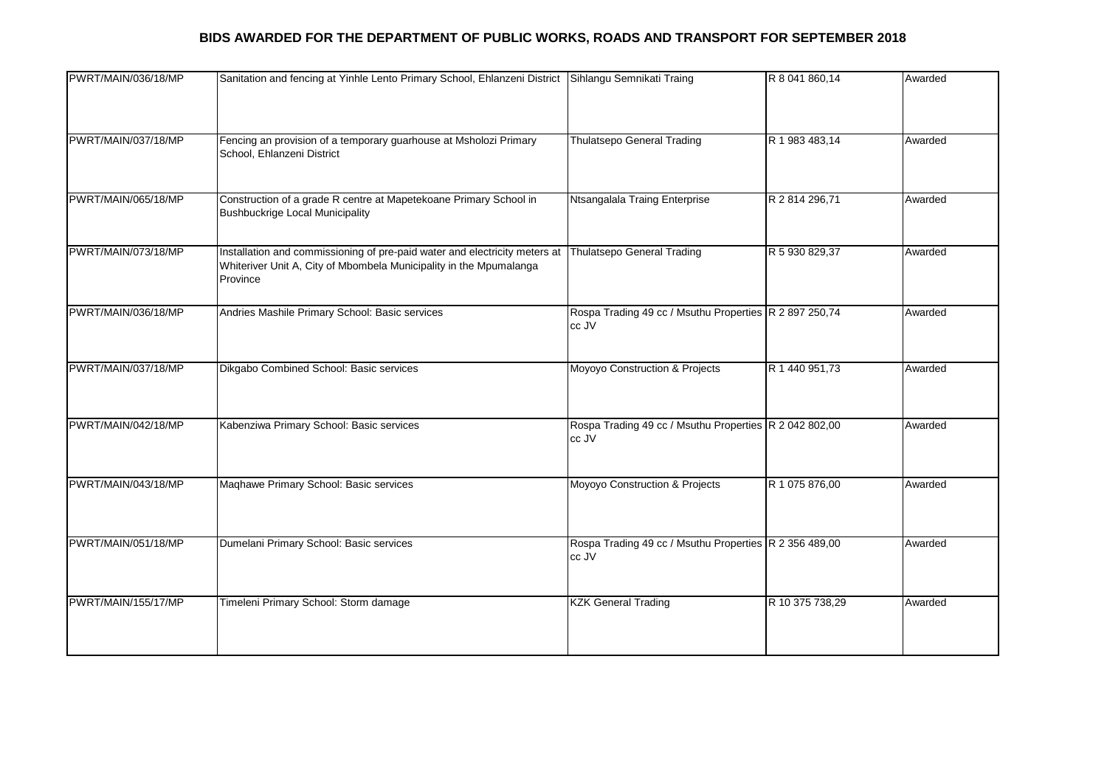| PWRT/MAIN/036/18/MP | Sanitation and fencing at Yinhle Lento Primary School, Ehlanzeni District                                                                                    | Sihlangu Semnikati Traing                                       | R 8 041 860,14  | Awarded |
|---------------------|--------------------------------------------------------------------------------------------------------------------------------------------------------------|-----------------------------------------------------------------|-----------------|---------|
| PWRT/MAIN/037/18/MP | Fencing an provision of a temporary guarhouse at Msholozi Primary<br>School, Ehlanzeni District                                                              | <b>Thulatsepo General Trading</b>                               | R 1 983 483,14  | Awarded |
| PWRT/MAIN/065/18/MP | Construction of a grade R centre at Mapetekoane Primary School in<br><b>Bushbuckrige Local Municipality</b>                                                  | Ntsangalala Traing Enterprise                                   | R 2 814 296,71  | Awarded |
| PWRT/MAIN/073/18/MP | Installation and commissioning of pre-paid water and electricity meters at<br>Whiteriver Unit A, City of Mbombela Municipality in the Mpumalanga<br>Province | <b>Thulatsepo General Trading</b>                               | R 5 930 829,37  | Awarded |
| PWRT/MAIN/036/18/MP | Andries Mashile Primary School: Basic services                                                                                                               | Rospa Trading 49 cc / Msuthu Properties R 2 897 250,74<br>cc JV |                 | Awarded |
| PWRT/MAIN/037/18/MP | Dikgabo Combined School: Basic services                                                                                                                      | Moyoyo Construction & Projects                                  | R 1 440 951,73  | Awarded |
| PWRT/MAIN/042/18/MP | Kabenziwa Primary School: Basic services                                                                                                                     | Rospa Trading 49 cc / Msuthu Properties R 2 042 802,00<br>cc JV |                 | Awarded |
| PWRT/MAIN/043/18/MP | Maqhawe Primary School: Basic services                                                                                                                       | Moyoyo Construction & Projects                                  | R 1 075 876,00  | Awarded |
| PWRT/MAIN/051/18/MP | Dumelani Primary School: Basic services                                                                                                                      | Rospa Trading 49 cc / Msuthu Properties R 2 356 489,00<br>cc JV |                 | Awarded |
| PWRT/MAIN/155/17/MP | Timeleni Primary School: Storm damage                                                                                                                        | <b>KZK General Trading</b>                                      | R 10 375 738,29 | Awarded |